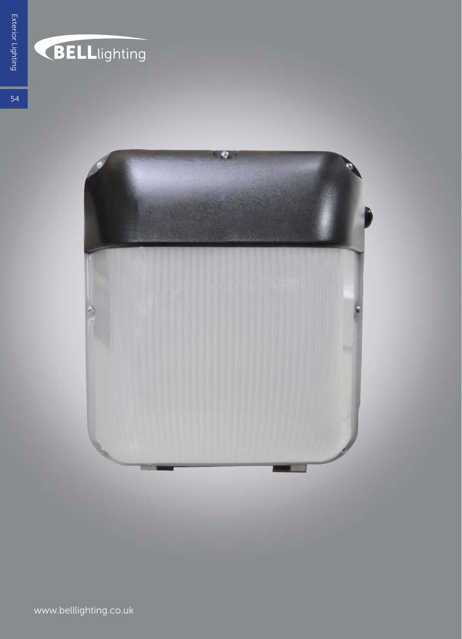

## **BELL**lighting

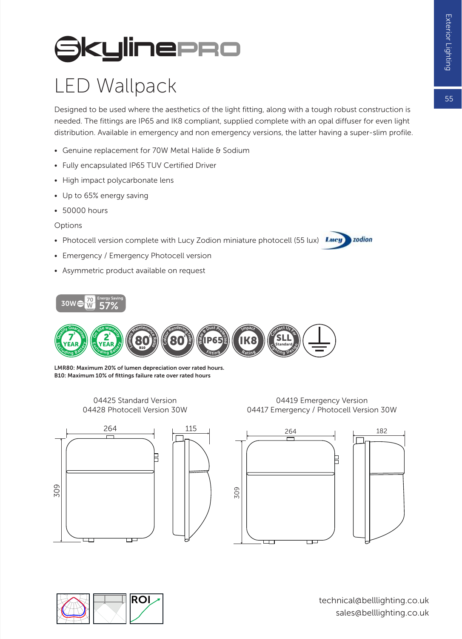## **SkylinePRO**

## LED Wallpack

Designed to be used where the aesthetics of the light fitting, along with a tough robust construction is needed. The fittings are IP65 and IK8 compliant, supplied complete with an opal diffuser for even light distribution. Available in emergency and non emergency versions, the latter having a super-slim profile.

- Genuine replacement for 70W Metal Halide & Sodium
- Fully encapsulated IP65 TUV Certified Driver
- High impact polycarbonate lens
- Up to 65% energy saving
- 50000 hours
- Options
- Photocell version complete with Lucy Zodion miniature photocell (55 lux) Lucy
- Emergency / Emergency Photocell version
- Asymmetric product available on request





LMR80: Maximum 20% of lumen depreciation over rated hours. B10: Maximum 10% of fittings failure rate over rated hours

> 04425 Standard Version 04428 Photocell Version 30W

04419 Emergency Version 04417 Emergency / Photocell Version 30W

zodion









technical@belllighting.co.uk sales@belllighting.co.uk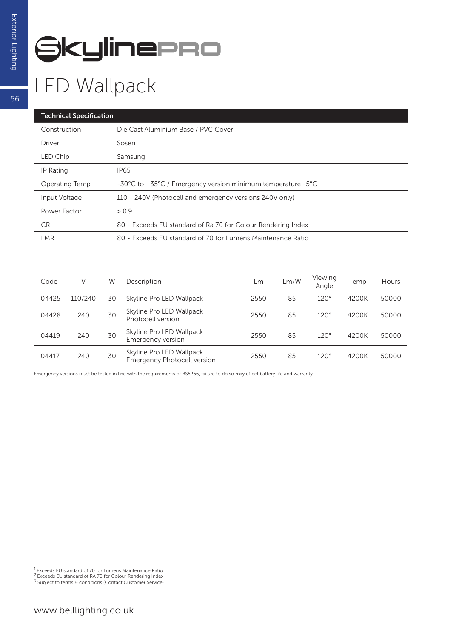## **SkylinePRO**

| <b>Technical Specification</b> |                                                              |  |  |  |  |
|--------------------------------|--------------------------------------------------------------|--|--|--|--|
| Construction                   | Die Cast Aluminium Base / PVC Cover                          |  |  |  |  |
| Driver                         | Sosen                                                        |  |  |  |  |
| LED Chip                       | Samsung                                                      |  |  |  |  |
| IP Rating                      | <b>IP65</b>                                                  |  |  |  |  |
| Operating Temp                 | -30°C to +35°C / Emergency version minimum temperature -5°C  |  |  |  |  |
| Input Voltage                  | 110 - 240V (Photocell and emergency versions 240V only)      |  |  |  |  |
| Power Factor                   | > 0.9                                                        |  |  |  |  |
| <b>CRI</b>                     | 80 - Exceeds EU standard of Ra 70 for Colour Rendering Index |  |  |  |  |
| LMR                            | 80 - Exceeds EU standard of 70 for Lumens Maintenance Ratio  |  |  |  |  |

| Code  | V       | W  | Description                                                    | Lm   | Lm/W | Viewing<br>Angle | Temp  | Hours |
|-------|---------|----|----------------------------------------------------------------|------|------|------------------|-------|-------|
| 04425 | 110/240 | 30 | Skyline Pro LED Wallpack                                       | 2550 | 85   | $120^\circ$      | 4200K | 50000 |
| 04428 | 240     | 30 | Skyline Pro LED Wallpack<br>Photocell version                  | 2550 | 85   | 120°             | 4200K | 50000 |
| 04419 | 240     | 30 | Skyline Pro LED Wallpack<br>Emergency version                  | 2550 | 85   | $120^\circ$      | 4200K | 50000 |
| 04417 | 240     | 30 | Skyline Pro LED Wallpack<br><b>Emergency Photocell version</b> | 2550 | 85   | $120^\circ$      | 4200K | 50000 |

Emergency versions must be tested in line with the requirements of BS5266, failure to do so may effect battery life and warranty.

56

<sup>1</sup> Exceeds EU standard of 70 for Lumens Maintenance Ratio<br><sup>2</sup> Exceeds EU standard of RA 70 for Colour Rendering Index<br><sup>3</sup> Subject to terms & conditions (Contact Customer Service)